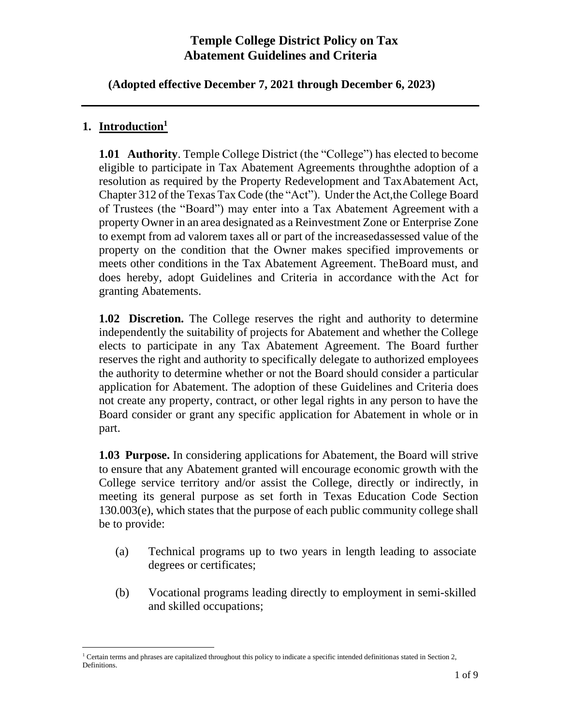**(Adopted effective December 7, 2021 through December 6, 2023)**

### **1. Introduction<sup>1</sup>**

**1.01 Authority**. Temple College District (the "College") has elected to become eligible to participate in Tax Abatement Agreements throughthe adoption of a resolution as required by the Property Redevelopment and Tax Abatement Act, Chapter 312 of the Texas Tax Code (the "Act"). Under the Act,the College Board of Trustees (the "Board") may enter into a Tax Abatement Agreement with a property Owner in an area designated as a Reinvestment Zone or Enterprise Zone to exempt from ad valorem taxes all or part of the increasedassessed value of the property on the condition that the Owner makes specified improvements or meets other conditions in the Tax Abatement Agreement. TheBoard must, and does hereby, adopt Guidelines and Criteria in accordance with the Act for granting Abatements.

**1.02 Discretion.** The College reserves the right and authority to determine independently the suitability of projects for Abatement and whether the College elects to participate in any Tax Abatement Agreement. The Board further reserves the right and authority to specifically delegate to authorized employees the authority to determine whether or not the Board should consider a particular application for Abatement. The adoption of these Guidelines and Criteria does not create any property, contract, or other legal rights in any person to have the Board consider or grant any specific application for Abatement in whole or in part.

**1.03 Purpose.** In considering applications for Abatement, the Board will strive to ensure that any Abatement granted will encourage economic growth with the College service territory and/or assist the College, directly or indirectly, in meeting its general purpose as set forth in Texas Education Code Section 130.003(e), which states that the purpose of each public community college shall be to provide:

- (a) Technical programs up to two years in length leading to associate degrees or certificates;
- (b) Vocational programs leading directly to employment in semi-skilled and skilled occupations;

<sup>&</sup>lt;sup>1</sup> Certain terms and phrases are capitalized throughout this policy to indicate a specific intended definitionas stated in Section 2, Definitions.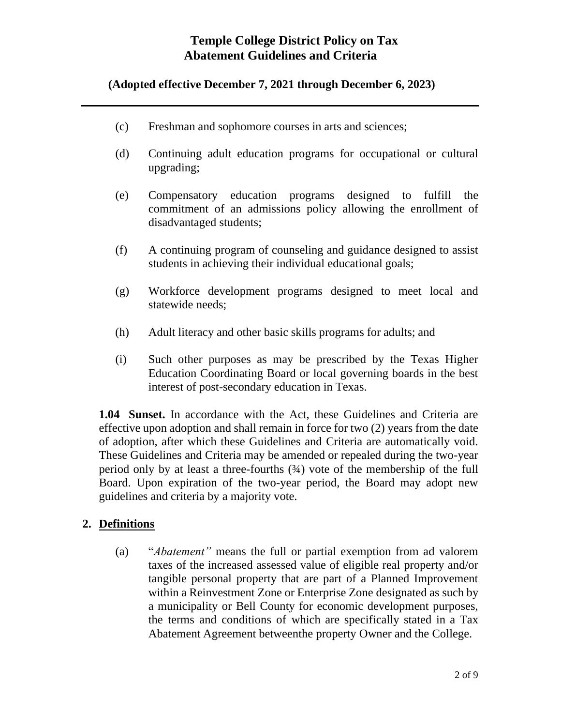### **(Adopted effective December 7, 2021 through December 6, 2023)**

- (c) Freshman and sophomore courses in arts and sciences;
- (d) Continuing adult education programs for occupational or cultural upgrading;
- (e) Compensatory education programs designed to fulfill the commitment of an admissions policy allowing the enrollment of disadvantaged students;
- (f) A continuing program of counseling and guidance designed to assist students in achieving their individual educational goals;
- (g) Workforce development programs designed to meet local and statewide needs;
- (h) Adult literacy and other basic skills programs for adults; and
- (i) Such other purposes as may be prescribed by the Texas Higher Education Coordinating Board or local governing boards in the best interest of post-secondary education in Texas.

**1.04 Sunset.** In accordance with the Act, these Guidelines and Criteria are effective upon adoption and shall remain in force for two (2) years from the date of adoption, after which these Guidelines and Criteria are automatically void. These Guidelines and Criteria may be amended or repealed during the two-year period only by at least a three-fourths  $(34)$  vote of the membership of the full Board. Upon expiration of the two-year period, the Board may adopt new guidelines and criteria by a majority vote.

#### **2. Definitions**

(a) "*Abatement"* means the full or partial exemption from ad valorem taxes of the increased assessed value of eligible real property and/or tangible personal property that are part of a Planned Improvement within a Reinvestment Zone or Enterprise Zone designated as such by a municipality or Bell County for economic development purposes, the terms and conditions of which are specifically stated in a Tax Abatement Agreement betweenthe property Owner and the College.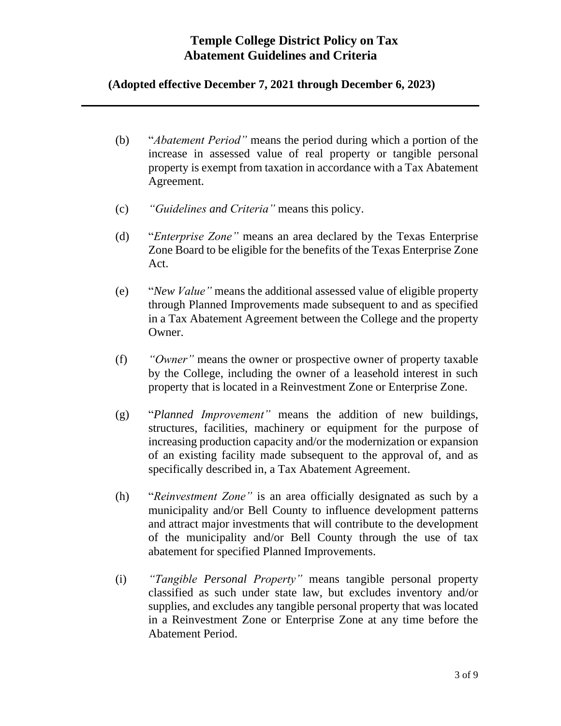#### **(Adopted effective December 7, 2021 through December 6, 2023)**

- (b) "*Abatement Period"* means the period during which a portion of the increase in assessed value of real property or tangible personal property is exempt from taxation in accordance with a Tax Abatement Agreement.
- (c) *"Guidelines and Criteria"* means this policy.
- (d) "*Enterprise Zone"* means an area declared by the Texas Enterprise Zone Board to be eligible for the benefits of the Texas Enterprise Zone Act.
- (e) "*New Value"* means the additional assessed value of eligible property through Planned Improvements made subsequent to and as specified in a Tax Abatement Agreement between the College and the property Owner.
- (f) *"Owner"* means the owner or prospective owner of property taxable by the College, including the owner of a leasehold interest in such property that is located in a Reinvestment Zone or Enterprise Zone.
- (g) "*Planned Improvement"* means the addition of new buildings, structures, facilities, machinery or equipment for the purpose of increasing production capacity and/or the modernization or expansion of an existing facility made subsequent to the approval of, and as specifically described in, a Tax Abatement Agreement.
- (h) "*Reinvestment Zone"* is an area officially designated as such by a municipality and/or Bell County to influence development patterns and attract major investments that will contribute to the development of the municipality and/or Bell County through the use of tax abatement for specified Planned Improvements.
- (i) *"Tangible Personal Property"* means tangible personal property classified as such under state law, but excludes inventory and/or supplies, and excludes any tangible personal property that was located in a Reinvestment Zone or Enterprise Zone at any time before the Abatement Period.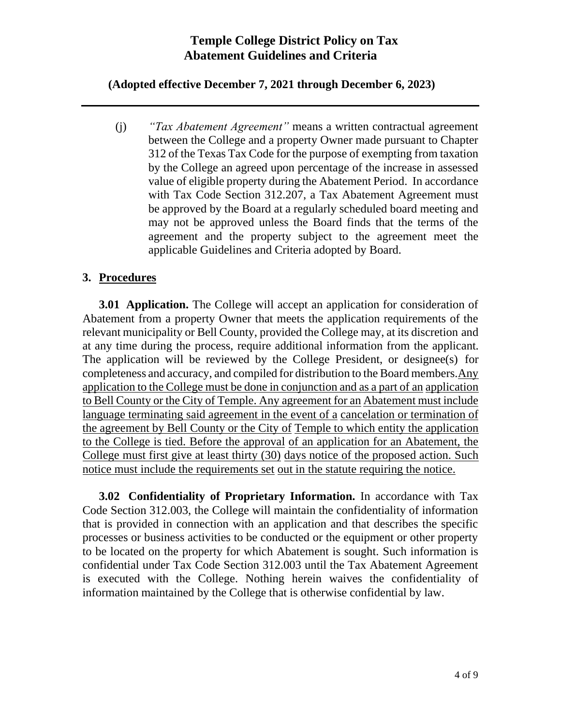#### **(Adopted effective December 7, 2021 through December 6, 2023)**

(j) *"Tax Abatement Agreement"* means a written contractual agreement between the College and a property Owner made pursuant to Chapter 312 of the Texas Tax Code for the purpose of exempting from taxation by the College an agreed upon percentage of the increase in assessed value of eligible property during the Abatement Period. In accordance with Tax Code Section 312.207, a Tax Abatement Agreement must be approved by the Board at a regularly scheduled board meeting and may not be approved unless the Board finds that the terms of the agreement and the property subject to the agreement meet the applicable Guidelines and Criteria adopted by Board.

#### **3. Procedures**

**3.01 Application.** The College will accept an application for consideration of Abatement from a property Owner that meets the application requirements of the relevant municipality or Bell County, provided the College may, at its discretion and at any time during the process, require additional information from the applicant. The application will be reviewed by the College President, or designee(s) for completeness and accuracy, and compiled for distribution to the Board members.Any application to the College must be done in conjunction and as a part of an application to Bell County or the City of Temple. Any agreement for an Abatement must include language terminating said agreement in the event of a cancelation or termination of the agreement by Bell County or the City of Temple to which entity the application to the College is tied. Before the approval of an application for an Abatement, the College must first give at least thirty (30) days notice of the proposed action. Such notice must include the requirements set out in the statute requiring the notice.

**3.02 Confidentiality of Proprietary Information.** In accordance with Tax Code Section 312.003, the College will maintain the confidentiality of information that is provided in connection with an application and that describes the specific processes or business activities to be conducted or the equipment or other property to be located on the property for which Abatement is sought. Such information is confidential under Tax Code Section 312.003 until the Tax Abatement Agreement is executed with the College. Nothing herein waives the confidentiality of information maintained by the College that is otherwise confidential by law.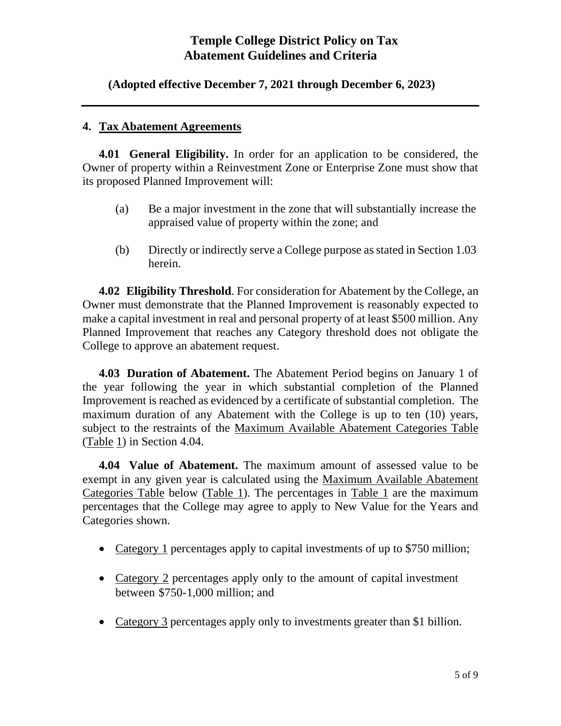**(Adopted effective December 7, 2021 through December 6, 2023)**

#### **4. Tax Abatement Agreements**

**4.01 General Eligibility.** In order for an application to be considered, the Owner of property within a Reinvestment Zone or Enterprise Zone must show that its proposed Planned Improvement will:

- (a) Be a major investment in the zone that will substantially increase the appraised value of property within the zone; and
- (b) Directly or indirectly serve a College purpose asstated in Section 1.03 herein.

**4.02 Eligibility Threshold**. For consideration for Abatement by the College, an Owner must demonstrate that the Planned Improvement is reasonably expected to make a capital investment in real and personal property of at least \$500 million. Any Planned Improvement that reaches any Category threshold does not obligate the College to approve an abatement request.

**4.03 Duration of Abatement.** The Abatement Period begins on January 1 of the year following the year in which substantial completion of the Planned Improvement is reached as evidenced by a certificate of substantial completion. The maximum duration of any Abatement with the College is up to ten (10) years, subject to the restraints of the Maximum Available Abatement Categories Table (Table 1) in Section 4.04.

**4.04 Value of Abatement.** The maximum amount of assessed value to be exempt in any given year is calculated using the Maximum Available Abatement Categories Table below (Table 1). The percentages in Table 1 are the maximum percentages that the College may agree to apply to New Value for the Years and Categories shown.

- Category 1 percentages apply to capital investments of up to \$750 million;
- Category 2 percentages apply only to the amount of capital investment between \$750-1,000 million; and
- Category 3 percentages apply only to investments greater than \$1 billion.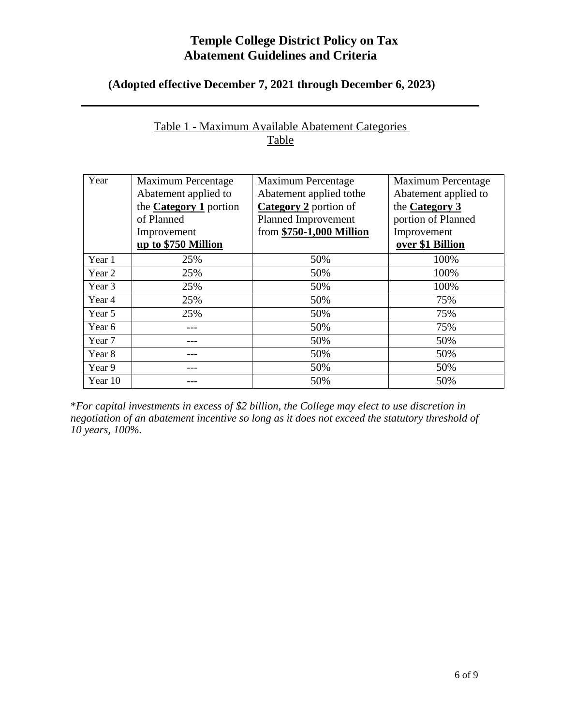### **(Adopted effective December 7, 2021 through December 6, 2023)**

| Year    | <b>Maximum Percentage</b>     | Maximum Percentage           | <b>Maximum Percentage</b> |
|---------|-------------------------------|------------------------------|---------------------------|
|         | Abatement applied to          | Abatement applied to the     | Abatement applied to      |
|         | the <b>Category 1</b> portion | <b>Category 2</b> portion of | the <b>Category 3</b>     |
|         | of Planned                    | Planned Improvement          | portion of Planned        |
|         | Improvement                   | from \$750-1,000 Million     | Improvement               |
|         | up to \$750 Million           |                              | over \$1 Billion          |
| Year 1  | 25%                           | 50%                          | 100%                      |
| Year 2  | 25%                           | 50%                          | 100%                      |
| Year 3  | 25%                           | 50%                          | 100%                      |
| Year 4  | 25%                           | 50%                          | 75%                       |
| Year 5  | 25%                           | 50%                          | 75%                       |
| Year 6  |                               | 50%                          | 75%                       |
| Year 7  |                               | 50%                          | 50%                       |
| Year 8  |                               | 50%                          | 50%                       |
| Year 9  |                               | 50%                          | 50%                       |
| Year 10 |                               | 50%                          | 50%                       |

### Table 1 - Maximum Available Abatement Categories Table

\**For capital investments in excess of \$2 billion, the College may elect to use discretion in negotiation of an abatement incentive so long as it does not exceed the statutory threshold of 10 years, 100%.*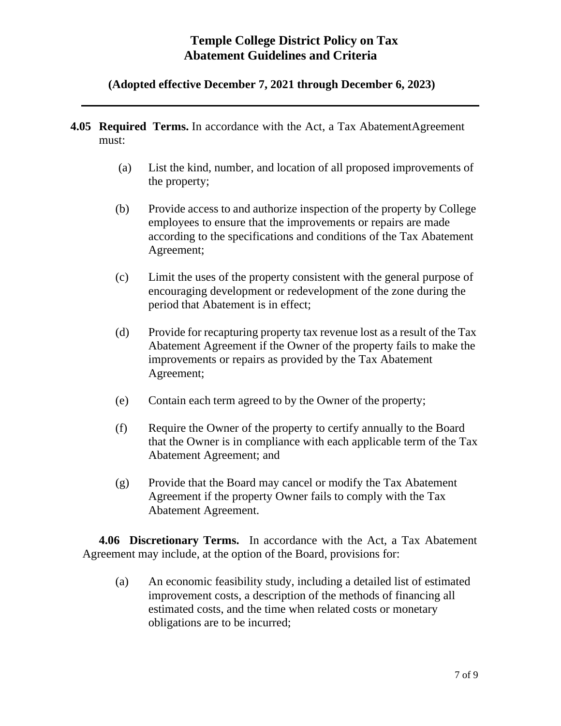#### **(Adopted effective December 7, 2021 through December 6, 2023)**

- **4.05 Required Terms.** In accordance with the Act, a Tax AbatementAgreement must:
	- (a) List the kind, number, and location of all proposed improvements of the property;
	- (b) Provide access to and authorize inspection of the property by College employees to ensure that the improvements or repairs are made according to the specifications and conditions of the Tax Abatement Agreement;
	- (c) Limit the uses of the property consistent with the general purpose of encouraging development or redevelopment of the zone during the period that Abatement is in effect;
	- (d) Provide for recapturing property tax revenue lost as a result of the Tax Abatement Agreement if the Owner of the property fails to make the improvements or repairs as provided by the Tax Abatement Agreement;
	- (e) Contain each term agreed to by the Owner of the property;
	- (f) Require the Owner of the property to certify annually to the Board that the Owner is in compliance with each applicable term of the Tax Abatement Agreement; and
	- (g) Provide that the Board may cancel or modify the Tax Abatement Agreement if the property Owner fails to comply with the Tax Abatement Agreement.

**4.06 Discretionary Terms.** In accordance with the Act, a Tax Abatement Agreement may include, at the option of the Board, provisions for:

(a) An economic feasibility study, including a detailed list of estimated improvement costs, a description of the methods of financing all estimated costs, and the time when related costs or monetary obligations are to be incurred;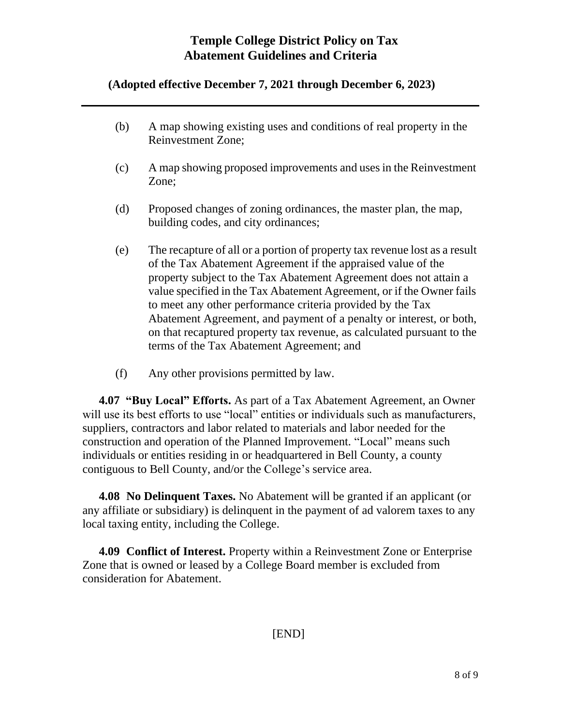### **(Adopted effective December 7, 2021 through December 6, 2023)**

- (b) A map showing existing uses and conditions of real property in the Reinvestment Zone;
- (c) A map showing proposed improvements and uses in the Reinvestment Zone;
- (d) Proposed changes of zoning ordinances, the master plan, the map, building codes, and city ordinances;
- (e) The recapture of all or a portion of property tax revenue lost as a result of the Tax Abatement Agreement if the appraised value of the property subject to the Tax Abatement Agreement does not attain a value specified in the Tax Abatement Agreement, or if the Owner fails to meet any other performance criteria provided by the Tax Abatement Agreement, and payment of a penalty or interest, or both, on that recaptured property tax revenue, as calculated pursuant to the terms of the Tax Abatement Agreement; and
- (f) Any other provisions permitted by law.

**4.07 "Buy Local" Efforts.** As part of a Tax Abatement Agreement, an Owner will use its best efforts to use "local" entities or individuals such as manufacturers, suppliers, contractors and labor related to materials and labor needed for the construction and operation of the Planned Improvement. "Local" means such individuals or entities residing in or headquartered in Bell County, a county contiguous to Bell County, and/or the College's service area.

**4.08 No Delinquent Taxes.** No Abatement will be granted if an applicant (or any affiliate or subsidiary) is delinquent in the payment of ad valorem taxes to any local taxing entity, including the College.

**4.09 Conflict of Interest.** Property within a Reinvestment Zone or Enterprise Zone that is owned or leased by a College Board member is excluded from consideration for Abatement.

[END]